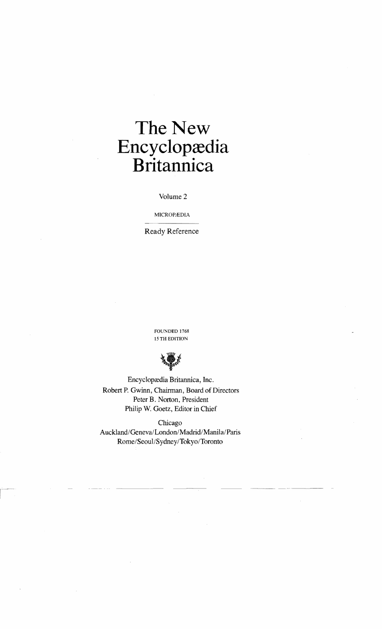## The New Encyclopædia **Britannica**

Volume 2

MICROPÆDIA

Ready Reference

FOUNDED 1768 15 TH EDITION



Encyclopædia Britannica, Inc. Robert P. Gwinn, Chairman, Board of Directors Peter B. Norton, President Philip W. Goetz, Editor in Chief

Chicago Auckland/Geneva/London/Madrid/Manila/Paris *Rome/Seoul/Sydney/Tokyo/Toronto*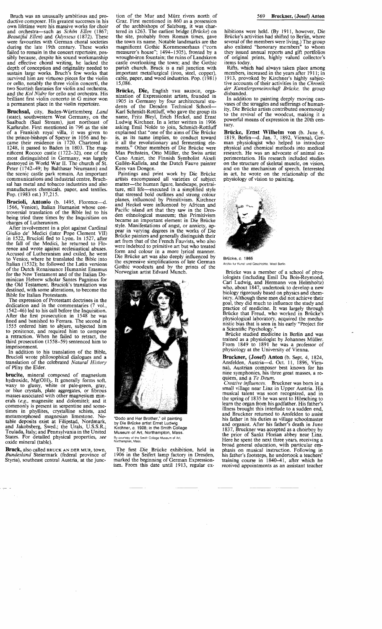Bruckner, (Josef) Anton (b. Sept. 4, 1824, Ansfelden, Austria-d. Oct. 11, 1896, Vienna), Austrian composer best known for his nine symphonies, his three great masses, a requiem, and a *Te Deum*.<br>*Creative influences*. Bruckner was born in a

small village near Linz in Upper Austria. His musical talent was soon recognized, and in the spring of 1835 he was sent to Horsching to learn the organ from his godfather. His father's illness brought this interlude to a sudden end, and Bruckner returned to Ansfelden to assist his father in his duties as village schoolmaster and organist. After his father's death in June 1837, Bruckner was accepted as a choirboy by the prior of Sankt Florian abbey near Linz.<br>Here he spent the next three years, receiving a broad general education, with particular emphasis on musical instruction. Following in his father's footsteps, he undertook a teachers' training course in 1840-41, after which he received appointments as an assistant teacher